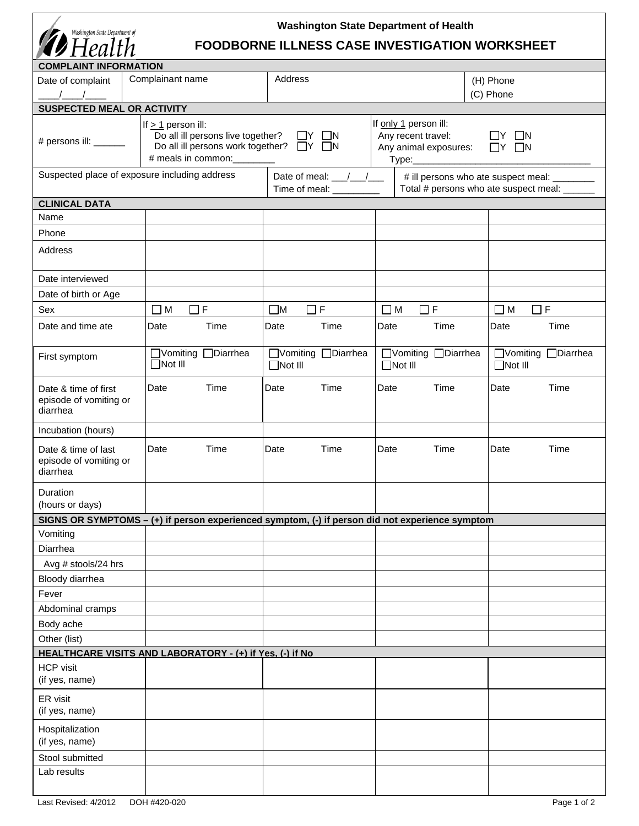| <b>Washington State Department of Health</b><br>Washington State Department of<br>Health<br><b>FOODBORNE ILLNESS CASE INVESTIGATION WORKSHEET</b> |                                                                                                 |                                                                                                                                                                            |                                       |                                       |  |  |
|---------------------------------------------------------------------------------------------------------------------------------------------------|-------------------------------------------------------------------------------------------------|----------------------------------------------------------------------------------------------------------------------------------------------------------------------------|---------------------------------------|---------------------------------------|--|--|
| <b>COMPLAINT INFORMATION</b>                                                                                                                      |                                                                                                 |                                                                                                                                                                            |                                       |                                       |  |  |
| Date of complaint                                                                                                                                 | Complainant name                                                                                | Address                                                                                                                                                                    |                                       | (H) Phone                             |  |  |
|                                                                                                                                                   |                                                                                                 |                                                                                                                                                                            |                                       | (C) Phone                             |  |  |
| <b>SUSPECTED MEAL OR ACTIVITY</b>                                                                                                                 |                                                                                                 |                                                                                                                                                                            |                                       |                                       |  |  |
| If $> 1$ person ill:<br>Do all ill persons live together? $\Box Y \Box N$<br># persons ill: ______<br>Do all ill persons work together? □ Y □ N   |                                                                                                 | If only 1 person ill:<br>Any recent travel:<br>$\Box$ Y $\Box$ N<br>$\Box$ Y $\Box$ N<br>Any animal exposures:                                                             |                                       |                                       |  |  |
| Suspected place of exposure including address                                                                                                     |                                                                                                 | Date of meal: $\frac{1}{\sqrt{1-\frac{1}{2}}}$<br># ill persons who ate suspect meal: ________<br>Total # persons who ate suspect meal: ______<br>Time of meal: __________ |                                       |                                       |  |  |
| <b>CLINICAL DATA</b>                                                                                                                              |                                                                                                 |                                                                                                                                                                            |                                       |                                       |  |  |
| Name                                                                                                                                              |                                                                                                 |                                                                                                                                                                            |                                       |                                       |  |  |
| Phone                                                                                                                                             |                                                                                                 |                                                                                                                                                                            |                                       |                                       |  |  |
| Address                                                                                                                                           |                                                                                                 |                                                                                                                                                                            |                                       |                                       |  |  |
| Date interviewed                                                                                                                                  |                                                                                                 |                                                                                                                                                                            |                                       |                                       |  |  |
| Date of birth or Age                                                                                                                              |                                                                                                 |                                                                                                                                                                            |                                       |                                       |  |  |
| Sex                                                                                                                                               | $\Box F$<br>$\Box$ M                                                                            | $\Box F$<br>$\square$ M                                                                                                                                                    | $\Box$ M<br>$\Box$ F                  | $\Box$ M<br>$\Box F$                  |  |  |
| Date and time ate                                                                                                                                 | Date<br>Time                                                                                    | Date<br>Time                                                                                                                                                               | Time<br>Date                          | Time<br>Date                          |  |  |
| First symptom                                                                                                                                     | □Vomiting □Diarrhea<br>$\Box$ Not III                                                           | □Vomiting □Diarrhea<br>$\Box$ Not III                                                                                                                                      | □Vomiting □Diarrhea<br>$\Box$ Not III | □Vomiting □Diarrhea<br>$\Box$ Not III |  |  |
| Date & time of first<br>episode of vomiting or<br>diarrhea                                                                                        | Date<br>Time                                                                                    | Date<br>Time                                                                                                                                                               | Time<br>Date                          | Time<br>Date                          |  |  |
| Incubation (hours)                                                                                                                                |                                                                                                 |                                                                                                                                                                            |                                       |                                       |  |  |
| Date & time of last<br>episode of vomiting or<br>diarrhea                                                                                         | Time<br>Date                                                                                    | Date<br>Time                                                                                                                                                               | Time<br>Date                          | Date<br>Time                          |  |  |
| Duration<br>(hours or days)                                                                                                                       |                                                                                                 |                                                                                                                                                                            |                                       |                                       |  |  |
|                                                                                                                                                   | SIGNS OR SYMPTOMS - (+) if person experienced symptom, (-) if person did not experience symptom |                                                                                                                                                                            |                                       |                                       |  |  |
| Vomiting                                                                                                                                          |                                                                                                 |                                                                                                                                                                            |                                       |                                       |  |  |
| Diarrhea                                                                                                                                          |                                                                                                 |                                                                                                                                                                            |                                       |                                       |  |  |
| Avg # stools/24 hrs                                                                                                                               |                                                                                                 |                                                                                                                                                                            |                                       |                                       |  |  |
| Bloody diarrhea                                                                                                                                   |                                                                                                 |                                                                                                                                                                            |                                       |                                       |  |  |
| Fever                                                                                                                                             |                                                                                                 |                                                                                                                                                                            |                                       |                                       |  |  |
| Abdominal cramps                                                                                                                                  |                                                                                                 |                                                                                                                                                                            |                                       |                                       |  |  |
| Body ache                                                                                                                                         |                                                                                                 |                                                                                                                                                                            |                                       |                                       |  |  |
| Other (list)                                                                                                                                      |                                                                                                 |                                                                                                                                                                            |                                       |                                       |  |  |
|                                                                                                                                                   | HEALTHCARE VISITS AND LABORATORY - (+) if Yes, (-) if No                                        |                                                                                                                                                                            |                                       |                                       |  |  |
| <b>HCP</b> visit<br>(if yes, name)                                                                                                                |                                                                                                 |                                                                                                                                                                            |                                       |                                       |  |  |
| ER visit<br>(if yes, name)                                                                                                                        |                                                                                                 |                                                                                                                                                                            |                                       |                                       |  |  |
| Hospitalization<br>(if yes, name)                                                                                                                 |                                                                                                 |                                                                                                                                                                            |                                       |                                       |  |  |
| Stool submitted                                                                                                                                   |                                                                                                 |                                                                                                                                                                            |                                       |                                       |  |  |
| Lab results                                                                                                                                       |                                                                                                 |                                                                                                                                                                            |                                       |                                       |  |  |